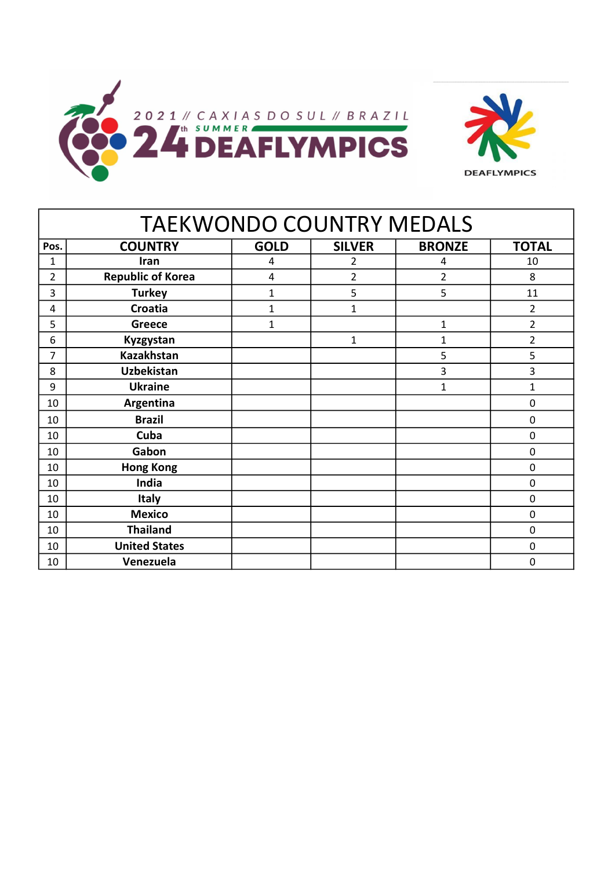

| <b>TAEKWONDO COUNTRY MEDALS</b> |                          |              |                |                |                |  |  |  |  |
|---------------------------------|--------------------------|--------------|----------------|----------------|----------------|--|--|--|--|
| Pos.                            | <b>COUNTRY</b>           | <b>GOLD</b>  | <b>SILVER</b>  | <b>BRONZE</b>  | <b>TOTAL</b>   |  |  |  |  |
| $\mathbf{1}$                    | Iran                     | 4            | 2              | 4              | 10             |  |  |  |  |
| $\overline{2}$                  | <b>Republic of Korea</b> | 4            | $\overline{2}$ | $\overline{2}$ | 8              |  |  |  |  |
| 3                               | <b>Turkey</b>            | $\mathbf{1}$ | 5              | 5              | 11             |  |  |  |  |
| 4                               | Croatia                  | $\mathbf{1}$ | $\mathbf{1}$   |                | $\overline{2}$ |  |  |  |  |
| 5                               | <b>Greece</b>            | $\mathbf{1}$ |                | $\mathbf 1$    | 2              |  |  |  |  |
| 6                               | Kyzgystan                |              | $\mathbf{1}$   | 1              | $\overline{2}$ |  |  |  |  |
| 7                               | <b>Kazakhstan</b>        |              |                | 5              | 5              |  |  |  |  |
| 8                               | <b>Uzbekistan</b>        |              |                | 3              | 3              |  |  |  |  |
| 9                               | <b>Ukraine</b>           |              |                | $\mathbf 1$    | 1              |  |  |  |  |
| 10                              | Argentina                |              |                |                | $\mathbf 0$    |  |  |  |  |
| 10                              | <b>Brazil</b>            |              |                |                | $\mathbf 0$    |  |  |  |  |
| 10                              | Cuba                     |              |                |                | 0              |  |  |  |  |
| 10                              | Gabon                    |              |                |                | $\mathbf 0$    |  |  |  |  |
| 10                              | <b>Hong Kong</b>         |              |                |                | $\pmb{0}$      |  |  |  |  |
| 10                              | India                    |              |                |                | 0              |  |  |  |  |
| 10                              | <b>Italy</b>             |              |                |                | 0              |  |  |  |  |
| 10                              | <b>Mexico</b>            |              |                |                | 0              |  |  |  |  |
| 10                              | <b>Thailand</b>          |              |                |                | $\mathbf 0$    |  |  |  |  |
| 10                              | <b>United States</b>     |              |                |                | $\mathbf 0$    |  |  |  |  |
| 10                              | Venezuela                |              |                |                | 0              |  |  |  |  |